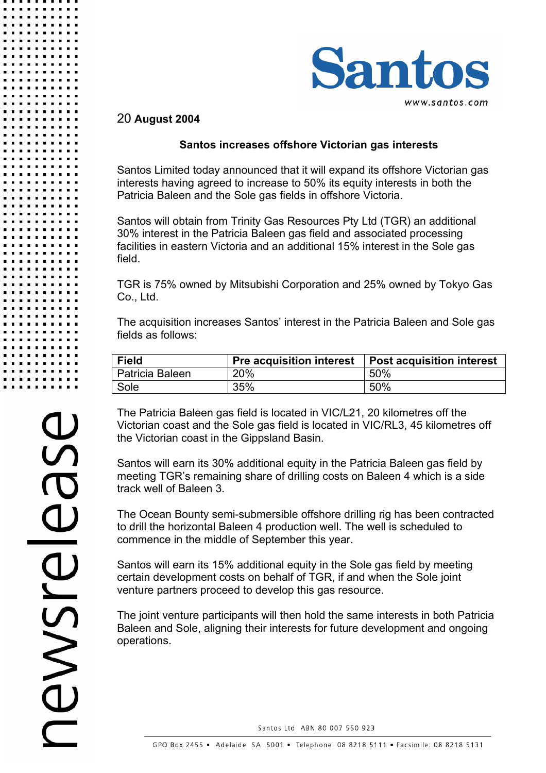

## 20 **August 2004**

## **Santos increases offshore Victorian gas interests**

Santos Limited today announced that it will expand its offshore Victorian gas interests having agreed to increase to 50% its equity interests in both the Patricia Baleen and the Sole gas fields in offshore Victoria.

Santos will obtain from Trinity Gas Resources Pty Ltd (TGR) an additional 30% interest in the Patricia Baleen gas field and associated processing facilities in eastern Victoria and an additional 15% interest in the Sole gas field.

TGR is 75% owned by Mitsubishi Corporation and 25% owned by Tokyo Gas Co., Ltd.

The acquisition increases Santos' interest in the Patricia Baleen and Sole gas fields as follows:

| <b>Field</b>    |     | Pre acquisition interest   Post acquisition interest |
|-----------------|-----|------------------------------------------------------|
| Patricia Baleen | 20% | 50%                                                  |
| Sole            | 35% | 50%                                                  |

The Patricia Baleen gas field is located in VIC/L21, 20 kilometres off the Victorian coast and the Sole gas field is located in VIC/RL3, 45 kilometres off the Victorian coast in the Gippsland Basin.

Santos will earn its 30% additional equity in the Patricia Baleen gas field by meeting TGR's remaining share of drilling costs on Baleen 4 which is a side track well of Baleen 3.

The Ocean Bounty semi-submersible offshore drilling rig has been contracted to drill the horizontal Baleen 4 production well. The well is scheduled to commence in the middle of September this year.

Santos will earn its 15% additional equity in the Sole gas field by meeting certain development costs on behalf of TGR, if and when the Sole joint venture partners proceed to develop this gas resource.

The joint venture participants will then hold the same interests in both Patricia Baleen and Sole, aligning their interests for future development and ongoing operations.

Santos Ltd ABN 80 007 550 923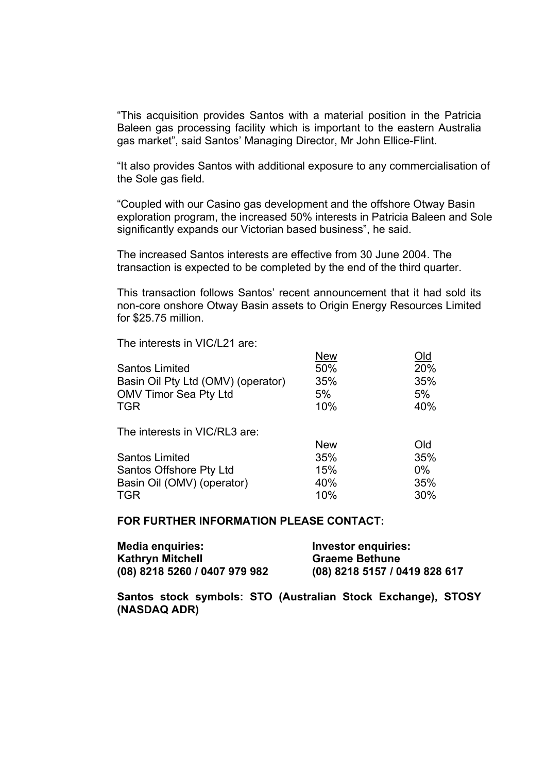"This acquisition provides Santos with a material position in the Patricia Baleen gas processing facility which is important to the eastern Australia gas market", said Santos' Managing Director, Mr John Ellice-Flint.

"It also provides Santos with additional exposure to any commercialisation of the Sole gas field.

"Coupled with our Casino gas development and the offshore Otway Basin exploration program, the increased 50% interests in Patricia Baleen and Sole significantly expands our Victorian based business", he said.

The increased Santos interests are effective from 30 June 2004. The transaction is expected to be completed by the end of the third quarter.

This transaction follows Santos' recent announcement that it had sold its non-core onshore Otway Basin assets to Origin Energy Resources Limited for \$25.75 million.

The interests in VIC/L21 are:

|                                    | <b>New</b> | Old   |
|------------------------------------|------------|-------|
| <b>Santos Limited</b>              | 50%        | 20%   |
| Basin Oil Pty Ltd (OMV) (operator) | 35%        | 35%   |
| <b>OMV Timor Sea Pty Ltd</b>       | 5%         | 5%    |
| <b>TGR</b>                         | 10%        | 40%   |
| The interests in VIC/RL3 are:      |            |       |
|                                    | <b>New</b> | Old   |
| <b>Santos Limited</b>              | 35%        | 35%   |
| Santos Offshore Pty Ltd            | 15%        | $0\%$ |
| Basin Oil (OMV) (operator)         | 40%        | 35%   |
| <b>TGR</b>                         | 10%        | 30%   |

#### **FOR FURTHER INFORMATION PLEASE CONTACT:**

| <b>Media enquiries:</b>       | Investor enquiries:           |
|-------------------------------|-------------------------------|
| Kathryn Mitchell              | <b>Graeme Bethune</b>         |
| (08) 8218 5260 / 0407 979 982 | (08) 8218 5157 / 0419 828 617 |

**Santos stock symbols: STO (Australian Stock Exchange), STOSY (NASDAQ ADR)**